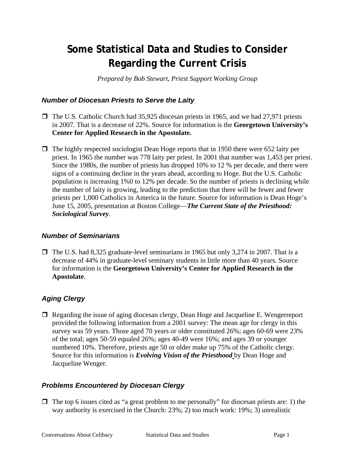# **Some Statistical Data and Studies to Consider Regarding the Current Crisis**

*Prepared by Bob Stewart, Priest Support Working Group* 

### *Number of Diocesan Priests to Serve the Laity*

- $\Box$  The U.S. Catholic Church had 35,925 diocesan priests in 1965, and we had 27,971 priests in 2007. That is a decrease of 22%. Source for information is the **Georgetown University's Center for Applied Research in the Apostolate.**
- $\Box$  The highly respected sociologist Dean Hoge reports that in 1950 there were 652 laity per priest. In 1965 the number was 778 laity per priest. In 2001 that number was 1,453 per priest. Since the 1980s, the number of priests has dropped 10% to 12 % per decade, and there were signs of a continuing decline in the years ahead, according to Hoge. But the U.S. Catholic population is increasing 1%0 to 12% per decade. So the number of priests is declining while the number of laity is growing, leading to the prediction that there will be fewer and fewer priests per 1,000 Catholics in America in the future. Source for information is Dean Hoge's June 15, 2005, presentation at Boston College—*The Current State of the Priesthood: Sociological Survey*.

### *Number of Seminarians*

 $\Box$  The U.S. had 8,325 graduate-level seminarians in 1965 but only 3,274 in 2007. That is a decrease of 44% in graduate-level seminary students in little more than 40 years. Source for information is the **Georgetown University's Center for Applied Research in the Apostolate**.

## *Aging Clergy*

 Regarding the issue of aging diocesan clergy, Dean Hoge and Jacqueline E. Wengerreport provided the following information from a 2001 survey: The mean age for clergy in this survey was 59 years. Those aged 70 years or older constituted 26%; ages 60-69 were 23% of the total; ages 50-59 equaled 26%; ages 40-49 were 16%; and ages 39 or younger numbered 10%. Therefore, priests age 50 or older make up 75% of the Catholic clergy. Source for this information is *Evolving Vision of the Priesthood* by Dean Hoge and Jacqueline Wenger.

### *Problems Encountered by Diocesan Clergy*

 $\Box$  The top 6 issues cited as "a great problem to me personally" for diocesan priests are: 1) the way authority is exercised in the Church: 23%; 2) too much work: 19%; 3) unrealistic